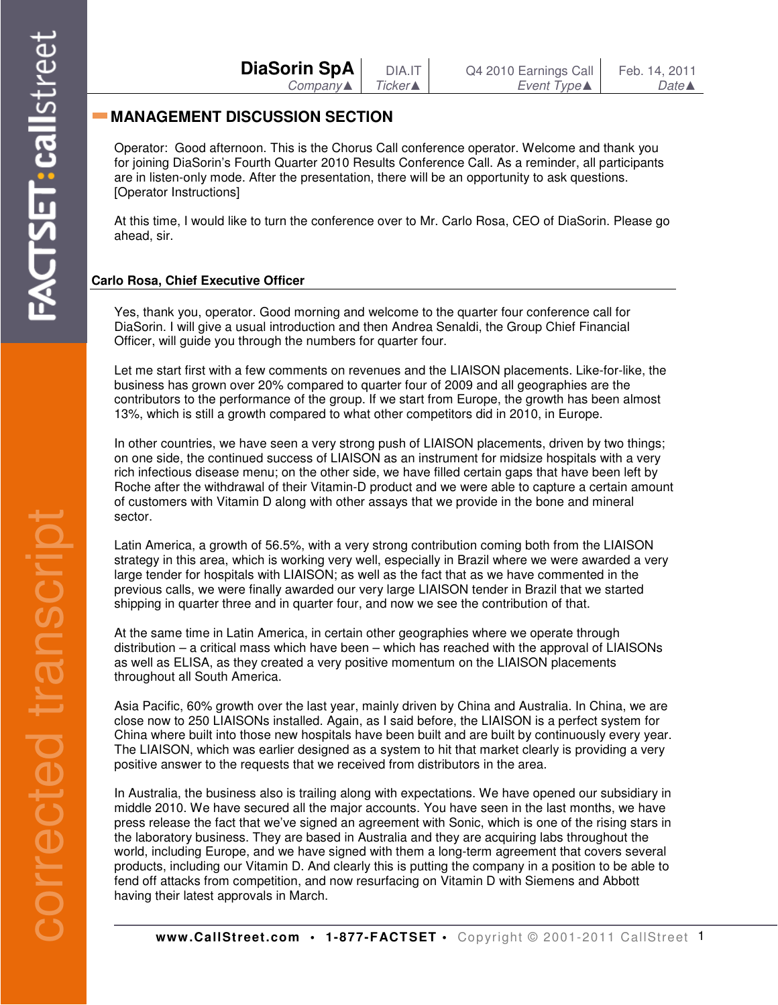| DiaSorin SpA | DIA.IT  | Q4 2010 Earnings Call | Feb. 14, 2011    |
|--------------|---------|-----------------------|------------------|
| Company▲ I   | Ticker▲ | Event Type▲           | $Date \triangle$ |

## **MANAGEMENT DISCUSSION SECTION**

Operator: Good afternoon. This is the Chorus Call conference operator. Welcome and thank you for joining DiaSorin's Fourth Quarter 2010 Results Conference Call. As a reminder, all participants are in listen-only mode. After the presentation, there will be an opportunity to ask questions. [Operator Instructions]

At this time, I would like to turn the conference over to Mr. Carlo Rosa, CEO of DiaSorin. Please go ahead, sir.

## **Carlo Rosa, Chief Executive Officer**

Yes, thank you, operator. Good morning and welcome to the quarter four conference call for DiaSorin. I will give a usual introduction and then Andrea Senaldi, the Group Chief Financial Officer, will guide you through the numbers for quarter four.

Let me start first with a few comments on revenues and the LIAISON placements. Like-for-like, the business has grown over 20% compared to quarter four of 2009 and all geographies are the contributors to the performance of the group. If we start from Europe, the growth has been almost 13%, which is still a growth compared to what other competitors did in 2010, in Europe.

In other countries, we have seen a very strong push of LIAISON placements, driven by two things; on one side, the continued success of LIAISON as an instrument for midsize hospitals with a very rich infectious disease menu; on the other side, we have filled certain gaps that have been left by Roche after the withdrawal of their Vitamin-D product and we were able to capture a certain amount of customers with Vitamin D along with other assays that we provide in the bone and mineral sector.

Latin America, a growth of 56.5%, with a very strong contribution coming both from the LIAISON strategy in this area, which is working very well, especially in Brazil where we were awarded a very large tender for hospitals with LIAISON; as well as the fact that as we have commented in the previous calls, we were finally awarded our very large LIAISON tender in Brazil that we started shipping in quarter three and in quarter four, and now we see the contribution of that.

At the same time in Latin America, in certain other geographies where we operate through distribution – a critical mass which have been – which has reached with the approval of LIAISONs as well as ELISA, as they created a very positive momentum on the LIAISON placements throughout all South America.

Asia Pacific, 60% growth over the last year, mainly driven by China and Australia. In China, we are close now to 250 LIAISONs installed. Again, as I said before, the LIAISON is a perfect system for China where built into those new hospitals have been built and are built by continuously every year. The LIAISON, which was earlier designed as a system to hit that market clearly is providing a very positive answer to the requests that we received from distributors in the area.

In Australia, the business also is trailing along with expectations. We have opened our subsidiary in middle 2010. We have secured all the major accounts. You have seen in the last months, we have press release the fact that we've signed an agreement with Sonic, which is one of the rising stars in the laboratory business. They are based in Australia and they are acquiring labs throughout the world, including Europe, and we have signed with them a long-term agreement that covers several products, including our Vitamin D. And clearly this is putting the company in a position to be able to fend off attacks from competition, and now resurfacing on Vitamin D with Siemens and Abbott having their latest approvals in March.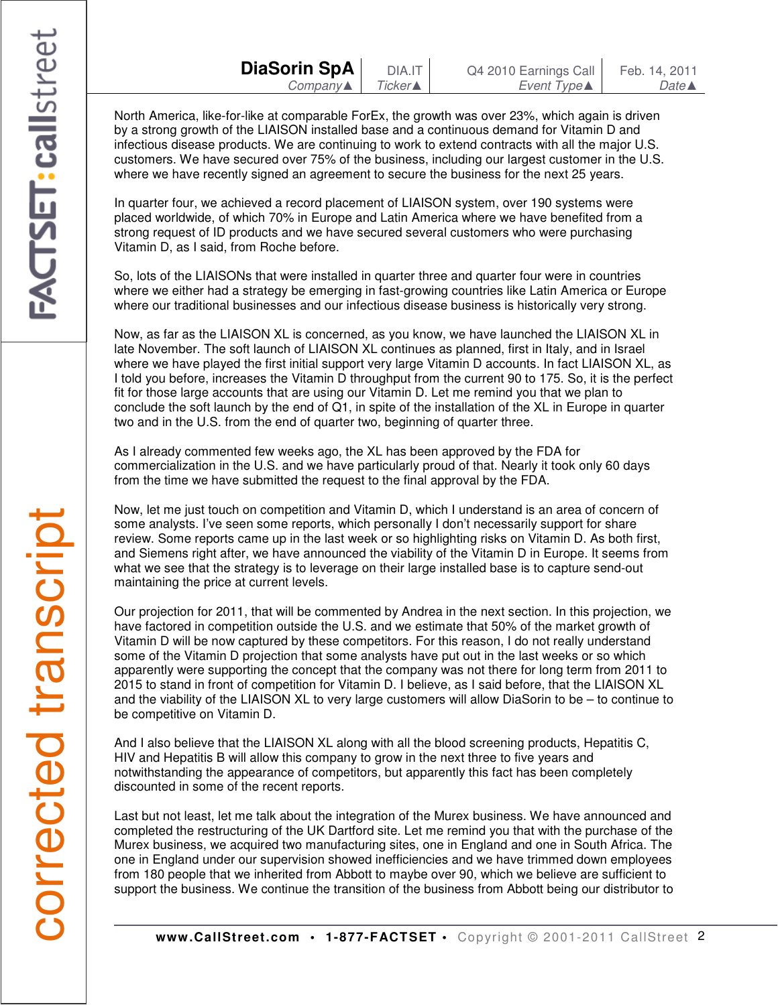North America, like-for-like at comparable ForEx, the growth was over 23%, which again is driven by a strong growth of the LIAISON installed base and a continuous demand for Vitamin D and infectious disease products. We are continuing to work to extend contracts with all the major U.S. customers. We have secured over 75% of the business, including our largest customer in the U.S. where we have recently signed an agreement to secure the business for the next 25 years.

In quarter four, we achieved a record placement of LIAISON system, over 190 systems were placed worldwide, of which 70% in Europe and Latin America where we have benefited from a strong request of ID products and we have secured several customers who were purchasing Vitamin D, as I said, from Roche before.

So, lots of the LIAISONs that were installed in quarter three and quarter four were in countries where we either had a strategy be emerging in fast-growing countries like Latin America or Europe where our traditional businesses and our infectious disease business is historically very strong.

Now, as far as the LIAISON XL is concerned, as you know, we have launched the LIAISON XL in late November. The soft launch of LIAISON XL continues as planned, first in Italy, and in Israel where we have played the first initial support very large Vitamin D accounts. In fact LIAISON XL, as I told you before, increases the Vitamin D throughput from the current 90 to 175. So, it is the perfect fit for those large accounts that are using our Vitamin D. Let me remind you that we plan to conclude the soft launch by the end of Q1, in spite of the installation of the XL in Europe in quarter two and in the U.S. from the end of quarter two, beginning of quarter three.

As I already commented few weeks ago, the XL has been approved by the FDA for commercialization in the U.S. and we have particularly proud of that. Nearly it took only 60 days from the time we have submitted the request to the final approval by the FDA.

Now, let me just touch on competition and Vitamin D, which I understand is an area of concern of some analysts. I've seen some reports, which personally I don't necessarily support for share review. Some reports came up in the last week or so highlighting risks on Vitamin D. As both first, and Siemens right after, we have announced the viability of the Vitamin D in Europe. It seems from what we see that the strategy is to leverage on their large installed base is to capture send-out maintaining the price at current levels.

Our projection for 2011, that will be commented by Andrea in the next section. In this projection, we have factored in competition outside the U.S. and we estimate that 50% of the market growth of Vitamin D will be now captured by these competitors. For this reason, I do not really understand some of the Vitamin D projection that some analysts have put out in the last weeks or so which apparently were supporting the concept that the company was not there for long term from 2011 to 2015 to stand in front of competition for Vitamin D. I believe, as I said before, that the LIAISON XL and the viability of the LIAISON XL to very large customers will allow DiaSorin to be – to continue to be competitive on Vitamin D.

And I also believe that the LIAISON XL along with all the blood screening products, Hepatitis C, HIV and Hepatitis B will allow this company to grow in the next three to five years and notwithstanding the appearance of competitors, but apparently this fact has been completely discounted in some of the recent reports.

Last but not least, let me talk about the integration of the Murex business. We have announced and completed the restructuring of the UK Dartford site. Let me remind you that with the purchase of the Murex business, we acquired two manufacturing sites, one in England and one in South Africa. The one in England under our supervision showed inefficiencies and we have trimmed down employees from 180 people that we inherited from Abbott to maybe over 90, which we believe are sufficient to support the business. We continue the transition of the business from Abbott being our distributor to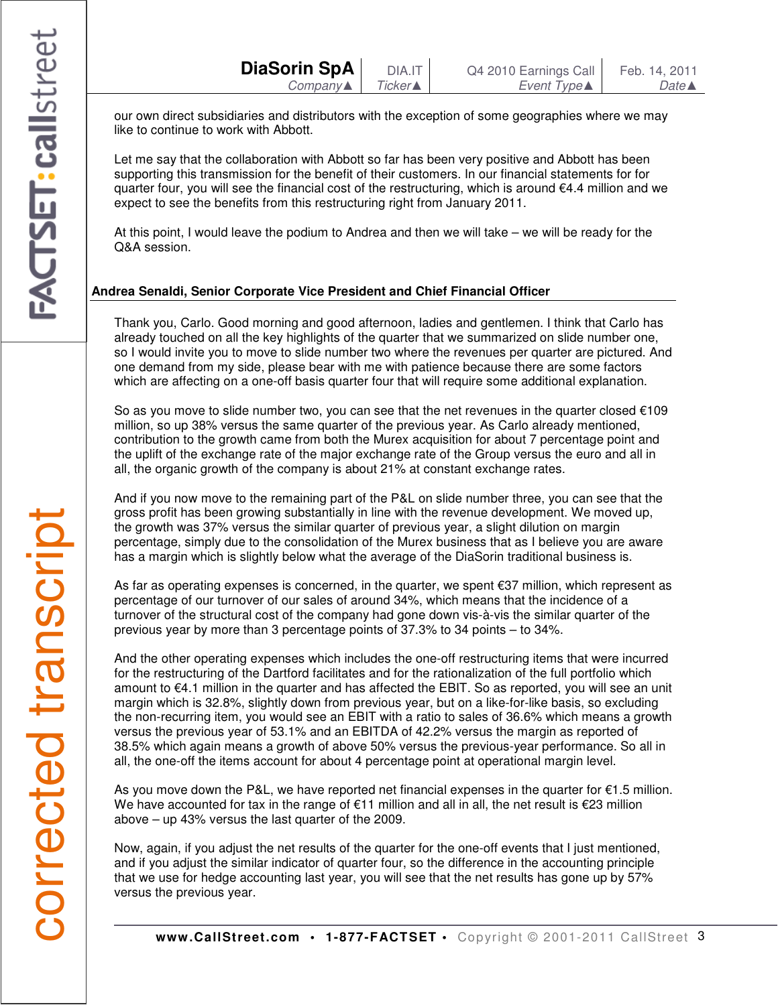our own direct subsidiaries and distributors with the exception of some geographies where we may like to continue to work with Abbott.

Let me say that the collaboration with Abbott so far has been very positive and Abbott has been supporting this transmission for the benefit of their customers. In our financial statements for for quarter four, you will see the financial cost of the restructuring, which is around €4.4 million and we expect to see the benefits from this restructuring right from January 2011.

At this point, I would leave the podium to Andrea and then we will take – we will be ready for the Q&A session.

## **Andrea Senaldi, Senior Corporate Vice President and Chief Financial Officer**

Thank you, Carlo. Good morning and good afternoon, ladies and gentlemen. I think that Carlo has already touched on all the key highlights of the quarter that we summarized on slide number one, so I would invite you to move to slide number two where the revenues per quarter are pictured. And one demand from my side, please bear with me with patience because there are some factors which are affecting on a one-off basis quarter four that will require some additional explanation.

So as you move to slide number two, you can see that the net revenues in the quarter closed  $€109$ million, so up 38% versus the same quarter of the previous year. As Carlo already mentioned, contribution to the growth came from both the Murex acquisition for about 7 percentage point and the uplift of the exchange rate of the major exchange rate of the Group versus the euro and all in all, the organic growth of the company is about 21% at constant exchange rates.

And if you now move to the remaining part of the P&L on slide number three, you can see that the gross profit has been growing substantially in line with the revenue development. We moved up, the growth was 37% versus the similar quarter of previous year, a slight dilution on margin percentage, simply due to the consolidation of the Murex business that as I believe you are aware has a margin which is slightly below what the average of the DiaSorin traditional business is.

As far as operating expenses is concerned, in the quarter, we spent €37 million, which represent as percentage of our turnover of our sales of around 34%, which means that the incidence of a turnover of the structural cost of the company had gone down vis-à-vis the similar quarter of the previous year by more than 3 percentage points of 37.3% to 34 points – to 34%.

And the other operating expenses which includes the one-off restructuring items that were incurred for the restructuring of the Dartford facilitates and for the rationalization of the full portfolio which amount to €4.1 million in the quarter and has affected the EBIT. So as reported, you will see an unit margin which is 32.8%, slightly down from previous year, but on a like-for-like basis, so excluding the non-recurring item, you would see an EBIT with a ratio to sales of 36.6% which means a growth versus the previous year of 53.1% and an EBITDA of 42.2% versus the margin as reported of 38.5% which again means a growth of above 50% versus the previous-year performance. So all in all, the one-off the items account for about 4 percentage point at operational margin level.

As you move down the P&L, we have reported net financial expenses in the quarter for  $\epsilon$ 1.5 million. We have accounted for tax in the range of €11 million and all in all, the net result is €23 million above – up 43% versus the last quarter of the 2009.

Now, again, if you adjust the net results of the quarter for the one-off events that I just mentioned, and if you adjust the similar indicator of quarter four, so the difference in the accounting principle that we use for hedge accounting last year, you will see that the net results has gone up by 57% versus the previous year.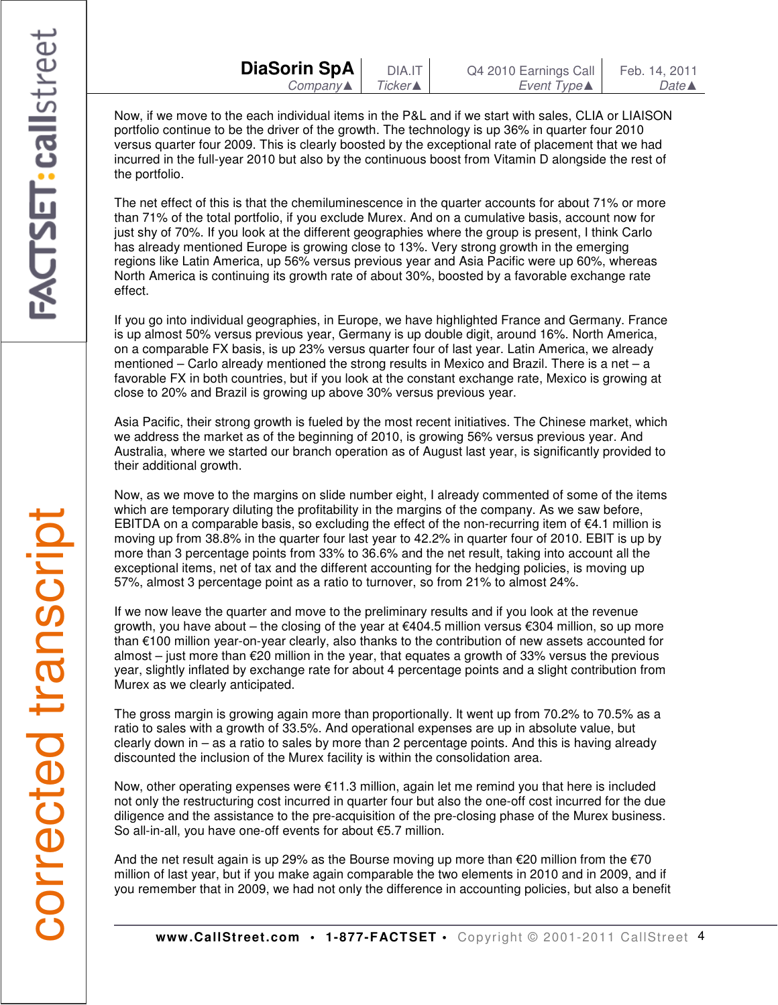Now, if we move to the each individual items in the P&L and if we start with sales, CLIA or LIAISON portfolio continue to be the driver of the growth. The technology is up 36% in quarter four 2010 versus quarter four 2009. This is clearly boosted by the exceptional rate of placement that we had incurred in the full-year 2010 but also by the continuous boost from Vitamin D alongside the rest of the portfolio.

The net effect of this is that the chemiluminescence in the quarter accounts for about 71% or more than 71% of the total portfolio, if you exclude Murex. And on a cumulative basis, account now for just shy of 70%. If you look at the different geographies where the group is present, I think Carlo has already mentioned Europe is growing close to 13%. Very strong growth in the emerging regions like Latin America, up 56% versus previous year and Asia Pacific were up 60%, whereas North America is continuing its growth rate of about 30%, boosted by a favorable exchange rate effect.

If you go into individual geographies, in Europe, we have highlighted France and Germany. France is up almost 50% versus previous year, Germany is up double digit, around 16%. North America, on a comparable FX basis, is up 23% versus quarter four of last year. Latin America, we already mentioned – Carlo already mentioned the strong results in Mexico and Brazil. There is a net – a favorable FX in both countries, but if you look at the constant exchange rate, Mexico is growing at close to 20% and Brazil is growing up above 30% versus previous year.

Asia Pacific, their strong growth is fueled by the most recent initiatives. The Chinese market, which we address the market as of the beginning of 2010, is growing 56% versus previous year. And Australia, where we started our branch operation as of August last year, is significantly provided to their additional growth.

Now, as we move to the margins on slide number eight, I already commented of some of the items which are temporary diluting the profitability in the margins of the company. As we saw before, EBITDA on a comparable basis, so excluding the effect of the non-recurring item of  $E4.1$  million is moving up from 38.8% in the quarter four last year to 42.2% in quarter four of 2010. EBIT is up by more than 3 percentage points from 33% to 36.6% and the net result, taking into account all the exceptional items, net of tax and the different accounting for the hedging policies, is moving up 57%, almost 3 percentage point as a ratio to turnover, so from 21% to almost 24%.

If we now leave the quarter and move to the preliminary results and if you look at the revenue growth, you have about – the closing of the year at €404.5 million versus €304 million, so up more than €100 million year-on-year clearly, also thanks to the contribution of new assets accounted for almost – just more than  $\epsilon$ 20 million in the year, that equates a growth of 33% versus the previous year, slightly inflated by exchange rate for about 4 percentage points and a slight contribution from Murex as we clearly anticipated.

The gross margin is growing again more than proportionally. It went up from 70.2% to 70.5% as a ratio to sales with a growth of 33.5%. And operational expenses are up in absolute value, but clearly down in – as a ratio to sales by more than 2 percentage points. And this is having already discounted the inclusion of the Murex facility is within the consolidation area.

Now, other operating expenses were €11.3 million, again let me remind you that here is included not only the restructuring cost incurred in quarter four but also the one-off cost incurred for the due diligence and the assistance to the pre-acquisition of the pre-closing phase of the Murex business. So all-in-all, you have one-off events for about €5.7 million.

And the net result again is up 29% as the Bourse moving up more than  $\epsilon$ 20 million from the  $\epsilon$ 70 million of last year, but if you make again comparable the two elements in 2010 and in 2009, and if you remember that in 2009, we had not only the difference in accounting policies, but also a benefit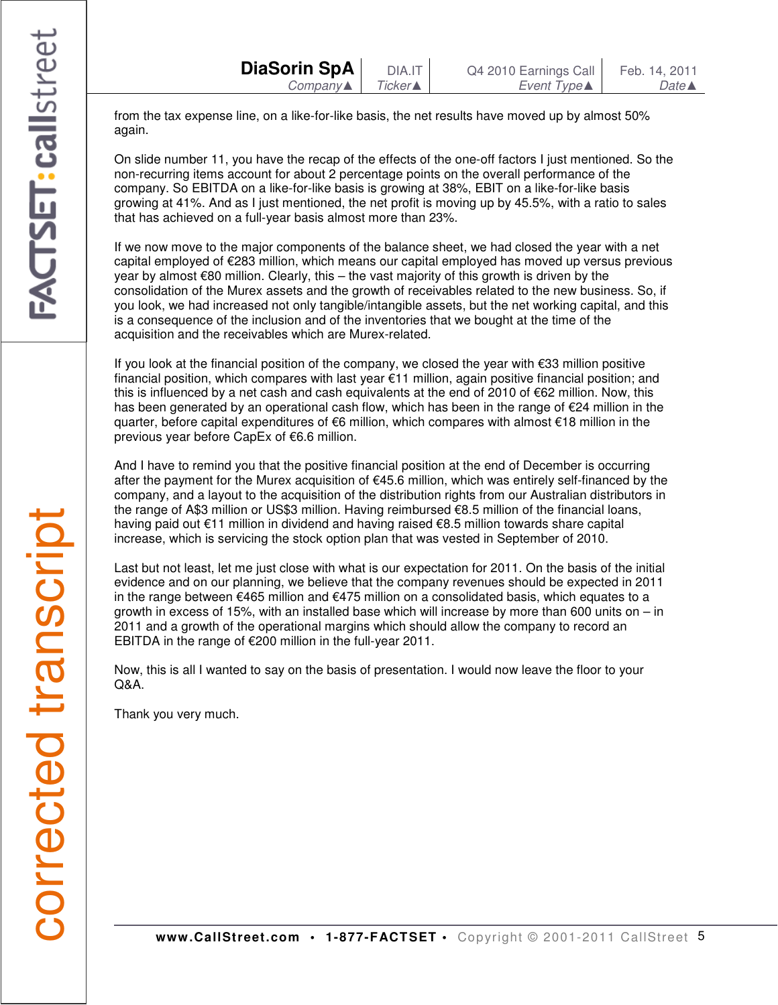from the tax expense line, on a like-for-like basis, the net results have moved up by almost 50% again.

On slide number 11, you have the recap of the effects of the one-off factors I just mentioned. So the non-recurring items account for about 2 percentage points on the overall performance of the company. So EBITDA on a like-for-like basis is growing at 38%, EBIT on a like-for-like basis growing at 41%. And as I just mentioned, the net profit is moving up by 45.5%, with a ratio to sales that has achieved on a full-year basis almost more than 23%.

If we now move to the major components of the balance sheet, we had closed the year with a net capital employed of €283 million, which means our capital employed has moved up versus previous year by almost €80 million. Clearly, this – the vast majority of this growth is driven by the consolidation of the Murex assets and the growth of receivables related to the new business. So, if you look, we had increased not only tangible/intangible assets, but the net working capital, and this is a consequence of the inclusion and of the inventories that we bought at the time of the acquisition and the receivables which are Murex-related.

If you look at the financial position of the company, we closed the year with €33 million positive financial position, which compares with last year €11 million, again positive financial position; and this is influenced by a net cash and cash equivalents at the end of 2010 of €62 million. Now, this has been generated by an operational cash flow, which has been in the range of €24 million in the quarter, before capital expenditures of €6 million, which compares with almost €18 million in the previous year before CapEx of €6.6 million.

And I have to remind you that the positive financial position at the end of December is occurring after the payment for the Murex acquisition of €45.6 million, which was entirely self-financed by the company, and a layout to the acquisition of the distribution rights from our Australian distributors in the range of A\$3 million or US\$3 million. Having reimbursed €8.5 million of the financial loans, having paid out €11 million in dividend and having raised €8.5 million towards share capital increase, which is servicing the stock option plan that was vested in September of 2010.

Last but not least, let me just close with what is our expectation for 2011. On the basis of the initial evidence and on our planning, we believe that the company revenues should be expected in 2011 in the range between  $\epsilon$ 465 million and  $\epsilon$ 475 million on a consolidated basis, which equates to a growth in excess of 15%, with an installed base which will increase by more than 600 units on – in 2011 and a growth of the operational margins which should allow the company to record an EBITDA in the range of €200 million in the full-year 2011.

Now, this is all I wanted to say on the basis of presentation. I would now leave the floor to your Q&A.

Thank you very much.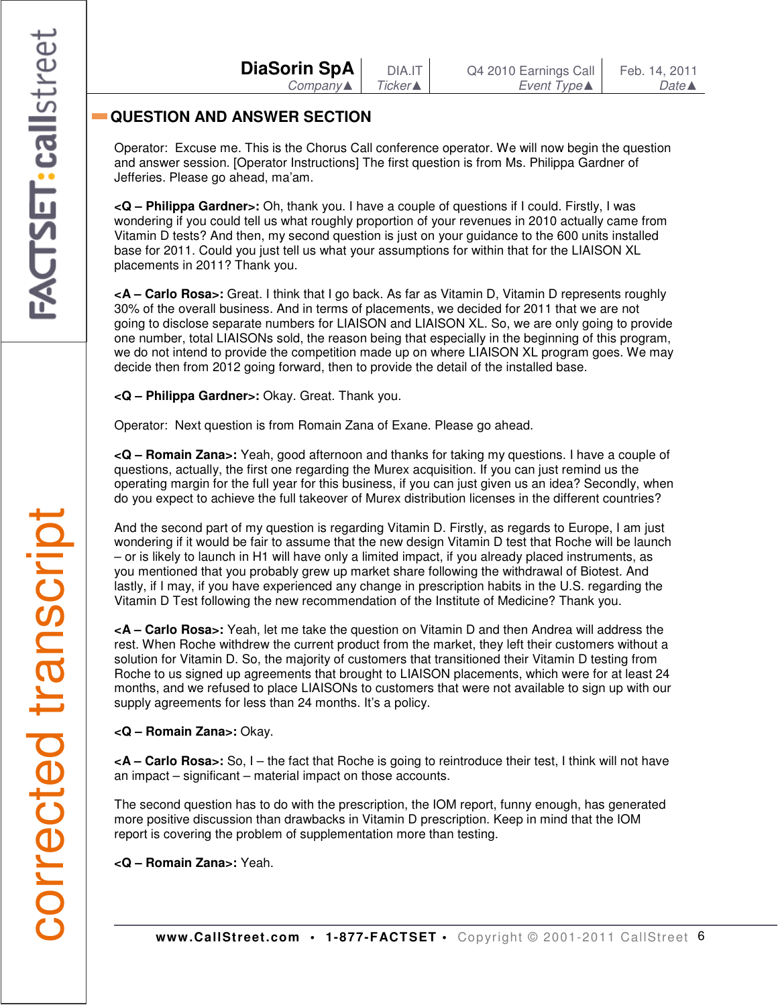| <b>DiaSorin SpA</b> |                     |  |
|---------------------|---------------------|--|
|                     | $Company \triangle$ |  |

# **QUESTION AND ANSWER SECTION**

Operator: Excuse me. This is the Chorus Call conference operator. We will now begin the question and answer session. [Operator Instructions] The first question is from Ms. Philippa Gardner of Jefferies. Please go ahead, ma'am.

**<Q – Philippa Gardner>:** Oh, thank you. I have a couple of questions if I could. Firstly, I was wondering if you could tell us what roughly proportion of your revenues in 2010 actually came from Vitamin D tests? And then, my second question is just on your guidance to the 600 units installed base for 2011. Could you just tell us what your assumptions for within that for the LIAISON XL placements in 2011? Thank you.

**<A – Carlo Rosa>:** Great. I think that I go back. As far as Vitamin D, Vitamin D represents roughly 30% of the overall business. And in terms of placements, we decided for 2011 that we are not going to disclose separate numbers for LIAISON and LIAISON XL. So, we are only going to provide one number, total LIAISONs sold, the reason being that especially in the beginning of this program, we do not intend to provide the competition made up on where LIAISON XL program goes. We may decide then from 2012 going forward, then to provide the detail of the installed base.

**<Q – Philippa Gardner>:** Okay. Great. Thank you.

Operator: Next question is from Romain Zana of Exane. Please go ahead.

**<Q – Romain Zana>:** Yeah, good afternoon and thanks for taking my questions. I have a couple of questions, actually, the first one regarding the Murex acquisition. If you can just remind us the operating margin for the full year for this business, if you can just given us an idea? Secondly, when do you expect to achieve the full takeover of Murex distribution licenses in the different countries?

And the second part of my question is regarding Vitamin D. Firstly, as regards to Europe, I am just wondering if it would be fair to assume that the new design Vitamin D test that Roche will be launch – or is likely to launch in H1 will have only a limited impact, if you already placed instruments, as you mentioned that you probably grew up market share following the withdrawal of Biotest. And lastly, if I may, if you have experienced any change in prescription habits in the U.S. regarding the Vitamin D Test following the new recommendation of the Institute of Medicine? Thank you.

**<A – Carlo Rosa>:** Yeah, let me take the question on Vitamin D and then Andrea will address the rest. When Roche withdrew the current product from the market, they left their customers without a solution for Vitamin D. So, the majority of customers that transitioned their Vitamin D testing from Roche to us signed up agreements that brought to LIAISON placements, which were for at least 24 months, and we refused to place LIAISONs to customers that were not available to sign up with our supply agreements for less than 24 months. It's a policy.

**<Q – Romain Zana>:** Okay.

**<A – Carlo Rosa>:** So, I – the fact that Roche is going to reintroduce their test, I think will not have an impact – significant – material impact on those accounts.

The second question has to do with the prescription, the IOM report, funny enough, has generated more positive discussion than drawbacks in Vitamin D prescription. Keep in mind that the IOM report is covering the problem of supplementation more than testing.

**<Q – Romain Zana>:** Yeah.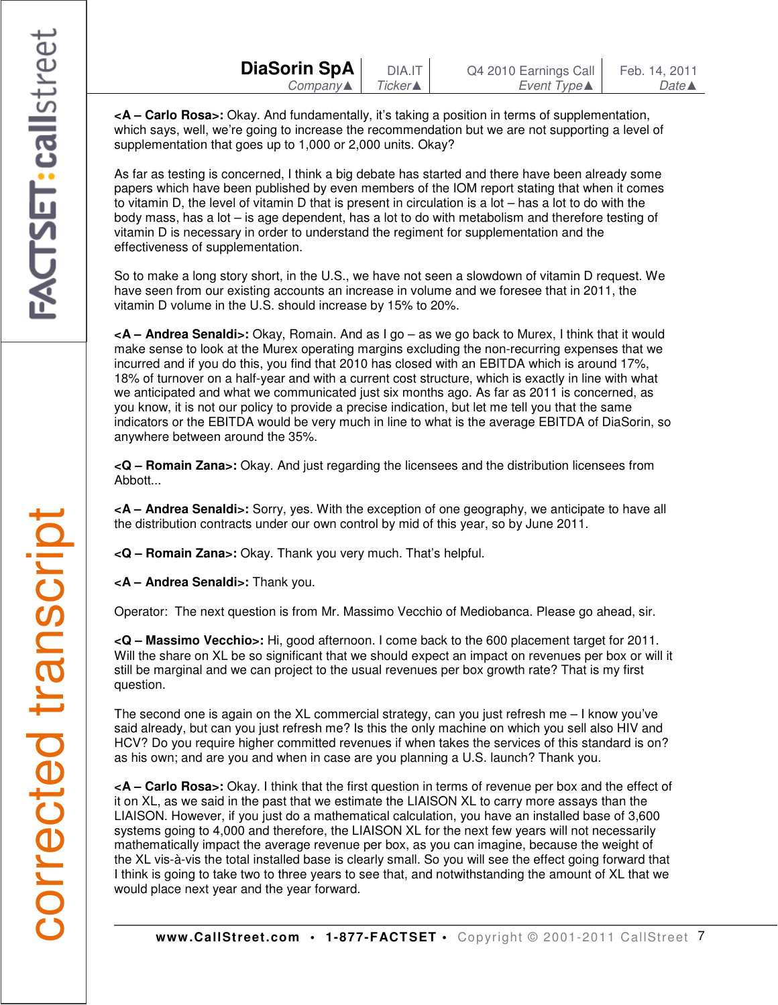| DiaSorin SpA | DIA.IT          | Q4 2010 Earnings Call | Feb. 14, 2011    |
|--------------|-----------------|-----------------------|------------------|
| $Company$    | Ticker <b>A</b> | Event Type▲           | Date $\triangle$ |

**<A – Carlo Rosa>:** Okay. And fundamentally, it's taking a position in terms of supplementation, which says, well, we're going to increase the recommendation but we are not supporting a level of supplementation that goes up to 1,000 or 2,000 units. Okay?

As far as testing is concerned, I think a big debate has started and there have been already some papers which have been published by even members of the IOM report stating that when it comes to vitamin D, the level of vitamin D that is present in circulation is a lot – has a lot to do with the body mass, has a lot – is age dependent, has a lot to do with metabolism and therefore testing of vitamin D is necessary in order to understand the regiment for supplementation and the effectiveness of supplementation.

So to make a long story short, in the U.S., we have not seen a slowdown of vitamin D request. We have seen from our existing accounts an increase in volume and we foresee that in 2011, the vitamin D volume in the U.S. should increase by 15% to 20%.

**<A – Andrea Senaldi>:** Okay, Romain. And as I go – as we go back to Murex, I think that it would make sense to look at the Murex operating margins excluding the non-recurring expenses that we incurred and if you do this, you find that 2010 has closed with an EBITDA which is around 17%, 18% of turnover on a half-year and with a current cost structure, which is exactly in line with what we anticipated and what we communicated just six months ago. As far as 2011 is concerned, as you know, it is not our policy to provide a precise indication, but let me tell you that the same indicators or the EBITDA would be very much in line to what is the average EBITDA of DiaSorin, so anywhere between around the 35%.

**<Q – Romain Zana>:** Okay. And just regarding the licensees and the distribution licensees from Abbott...

**<A – Andrea Senaldi>:** Sorry, yes. With the exception of one geography, we anticipate to have all the distribution contracts under our own control by mid of this year, so by June 2011.

**<Q – Romain Zana>:** Okay. Thank you very much. That's helpful.

**<A – Andrea Senaldi>:** Thank you.

Operator: The next question is from Mr. Massimo Vecchio of Mediobanca. Please go ahead, sir.

**<Q – Massimo Vecchio>:** Hi, good afternoon. I come back to the 600 placement target for 2011. Will the share on XL be so significant that we should expect an impact on revenues per box or will it still be marginal and we can project to the usual revenues per box growth rate? That is my first question.

The second one is again on the XL commercial strategy, can you just refresh me – I know you've said already, but can you just refresh me? Is this the only machine on which you sell also HIV and HCV? Do you require higher committed revenues if when takes the services of this standard is on? as his own; and are you and when in case are you planning a U.S. launch? Thank you.

**<A – Carlo Rosa>:** Okay. I think that the first question in terms of revenue per box and the effect of it on XL, as we said in the past that we estimate the LIAISON XL to carry more assays than the LIAISON. However, if you just do a mathematical calculation, you have an installed base of 3,600 systems going to 4,000 and therefore, the LIAISON XL for the next few years will not necessarily mathematically impact the average revenue per box, as you can imagine, because the weight of the XL vis-à-vis the total installed base is clearly small. So you will see the effect going forward that I think is going to take two to three years to see that, and notwithstanding the amount of XL that we would place next year and the year forward.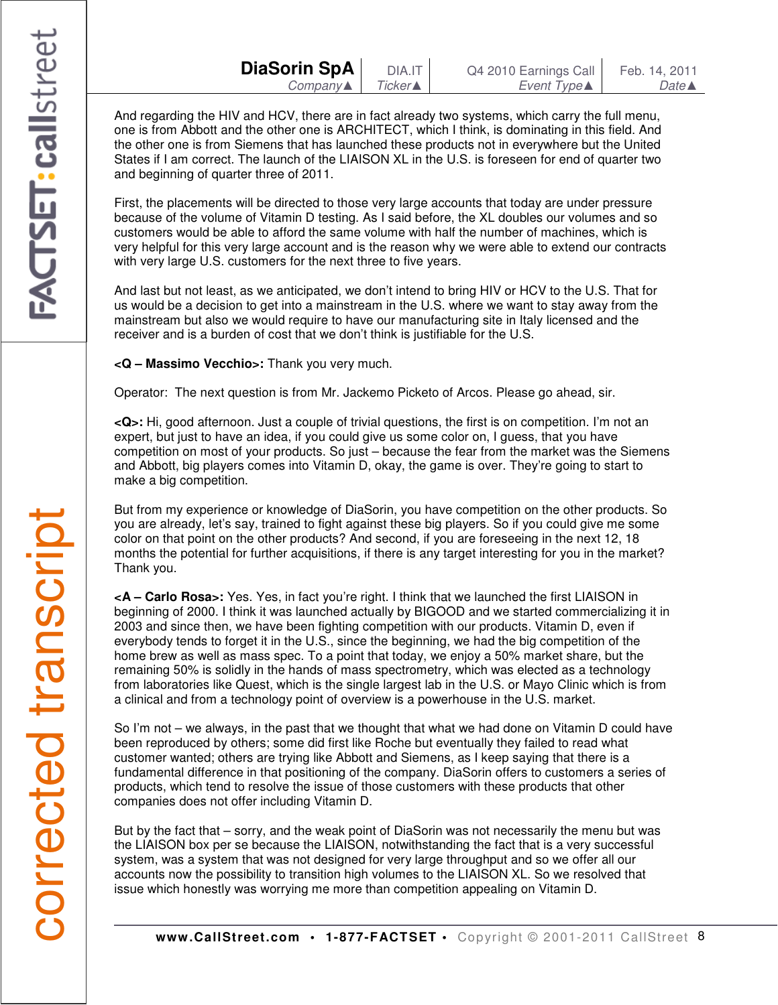And regarding the HIV and HCV, there are in fact already two systems, which carry the full menu, one is from Abbott and the other one is ARCHITECT, which I think, is dominating in this field. And the other one is from Siemens that has launched these products not in everywhere but the United States if I am correct. The launch of the LIAISON XL in the U.S. is foreseen for end of quarter two and beginning of quarter three of 2011.

First, the placements will be directed to those very large accounts that today are under pressure because of the volume of Vitamin D testing. As I said before, the XL doubles our volumes and so customers would be able to afford the same volume with half the number of machines, which is very helpful for this very large account and is the reason why we were able to extend our contracts with very large U.S. customers for the next three to five years.

And last but not least, as we anticipated, we don't intend to bring HIV or HCV to the U.S. That for us would be a decision to get into a mainstream in the U.S. where we want to stay away from the mainstream but also we would require to have our manufacturing site in Italy licensed and the receiver and is a burden of cost that we don't think is justifiable for the U.S.

**<Q – Massimo Vecchio>:** Thank you very much.

Operator: The next question is from Mr. Jackemo Picketo of Arcos. Please go ahead, sir.

**<Q>:** Hi, good afternoon. Just a couple of trivial questions, the first is on competition. I'm not an expert, but just to have an idea, if you could give us some color on, I guess, that you have competition on most of your products. So just – because the fear from the market was the Siemens and Abbott, big players comes into Vitamin D, okay, the game is over. They're going to start to make a big competition.

But from my experience or knowledge of DiaSorin, you have competition on the other products. So you are already, let's say, trained to fight against these big players. So if you could give me some color on that point on the other products? And second, if you are foreseeing in the next 12, 18 months the potential for further acquisitions, if there is any target interesting for you in the market? Thank you.

**<A – Carlo Rosa>:** Yes. Yes, in fact you're right. I think that we launched the first LIAISON in beginning of 2000. I think it was launched actually by BIGOOD and we started commercializing it in 2003 and since then, we have been fighting competition with our products. Vitamin D, even if everybody tends to forget it in the U.S., since the beginning, we had the big competition of the home brew as well as mass spec. To a point that today, we enjoy a 50% market share, but the remaining 50% is solidly in the hands of mass spectrometry, which was elected as a technology from laboratories like Quest, which is the single largest lab in the U.S. or Mayo Clinic which is from a clinical and from a technology point of overview is a powerhouse in the U.S. market.

So I'm not – we always, in the past that we thought that what we had done on Vitamin D could have been reproduced by others; some did first like Roche but eventually they failed to read what customer wanted; others are trying like Abbott and Siemens, as I keep saying that there is a fundamental difference in that positioning of the company. DiaSorin offers to customers a series of products, which tend to resolve the issue of those customers with these products that other companies does not offer including Vitamin D.

But by the fact that – sorry, and the weak point of DiaSorin was not necessarily the menu but was the LIAISON box per se because the LIAISON, notwithstanding the fact that is a very successful system, was a system that was not designed for very large throughput and so we offer all our accounts now the possibility to transition high volumes to the LIAISON XL. So we resolved that issue which honestly was worrying me more than competition appealing on Vitamin D.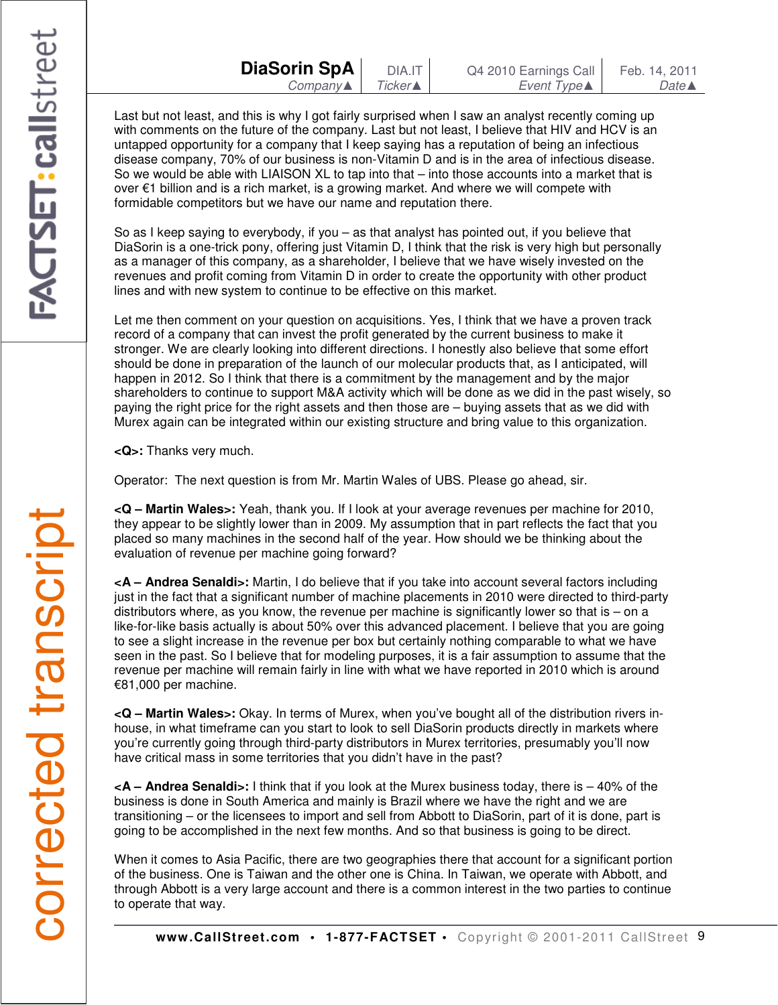Last but not least, and this is why I got fairly surprised when I saw an analyst recently coming up with comments on the future of the company. Last but not least, I believe that HIV and HCV is an untapped opportunity for a company that I keep saying has a reputation of being an infectious disease company, 70% of our business is non-Vitamin D and is in the area of infectious disease. So we would be able with LIAISON XL to tap into that – into those accounts into a market that is over €1 billion and is a rich market, is a growing market. And where we will compete with formidable competitors but we have our name and reputation there.

So as I keep saying to everybody, if you – as that analyst has pointed out, if you believe that DiaSorin is a one-trick pony, offering just Vitamin D, I think that the risk is very high but personally as a manager of this company, as a shareholder, I believe that we have wisely invested on the revenues and profit coming from Vitamin D in order to create the opportunity with other product lines and with new system to continue to be effective on this market.

Let me then comment on your question on acquisitions. Yes, I think that we have a proven track record of a company that can invest the profit generated by the current business to make it stronger. We are clearly looking into different directions. I honestly also believe that some effort should be done in preparation of the launch of our molecular products that, as I anticipated, will happen in 2012. So I think that there is a commitment by the management and by the major shareholders to continue to support M&A activity which will be done as we did in the past wisely, so paying the right price for the right assets and then those are – buying assets that as we did with Murex again can be integrated within our existing structure and bring value to this organization.

**<Q>:** Thanks very much.

Operator: The next question is from Mr. Martin Wales of UBS. Please go ahead, sir.

**<Q – Martin Wales>:** Yeah, thank you. If I look at your average revenues per machine for 2010, they appear to be slightly lower than in 2009. My assumption that in part reflects the fact that you placed so many machines in the second half of the year. How should we be thinking about the evaluation of revenue per machine going forward?

**<A – Andrea Senaldi>:** Martin, I do believe that if you take into account several factors including just in the fact that a significant number of machine placements in 2010 were directed to third-party distributors where, as you know, the revenue per machine is significantly lower so that is  $-$  on a like-for-like basis actually is about 50% over this advanced placement. I believe that you are going to see a slight increase in the revenue per box but certainly nothing comparable to what we have seen in the past. So I believe that for modeling purposes, it is a fair assumption to assume that the revenue per machine will remain fairly in line with what we have reported in 2010 which is around €81,000 per machine.

**<Q – Martin Wales>:** Okay. In terms of Murex, when you've bought all of the distribution rivers inhouse, in what timeframe can you start to look to sell DiaSorin products directly in markets where you're currently going through third-party distributors in Murex territories, presumably you'll now have critical mass in some territories that you didn't have in the past?

**<A – Andrea Senaldi>:** I think that if you look at the Murex business today, there is – 40% of the business is done in South America and mainly is Brazil where we have the right and we are transitioning – or the licensees to import and sell from Abbott to DiaSorin, part of it is done, part is going to be accomplished in the next few months. And so that business is going to be direct.

When it comes to Asia Pacific, there are two geographies there that account for a significant portion of the business. One is Taiwan and the other one is China. In Taiwan, we operate with Abbott, and through Abbott is a very large account and there is a common interest in the two parties to continue to operate that way.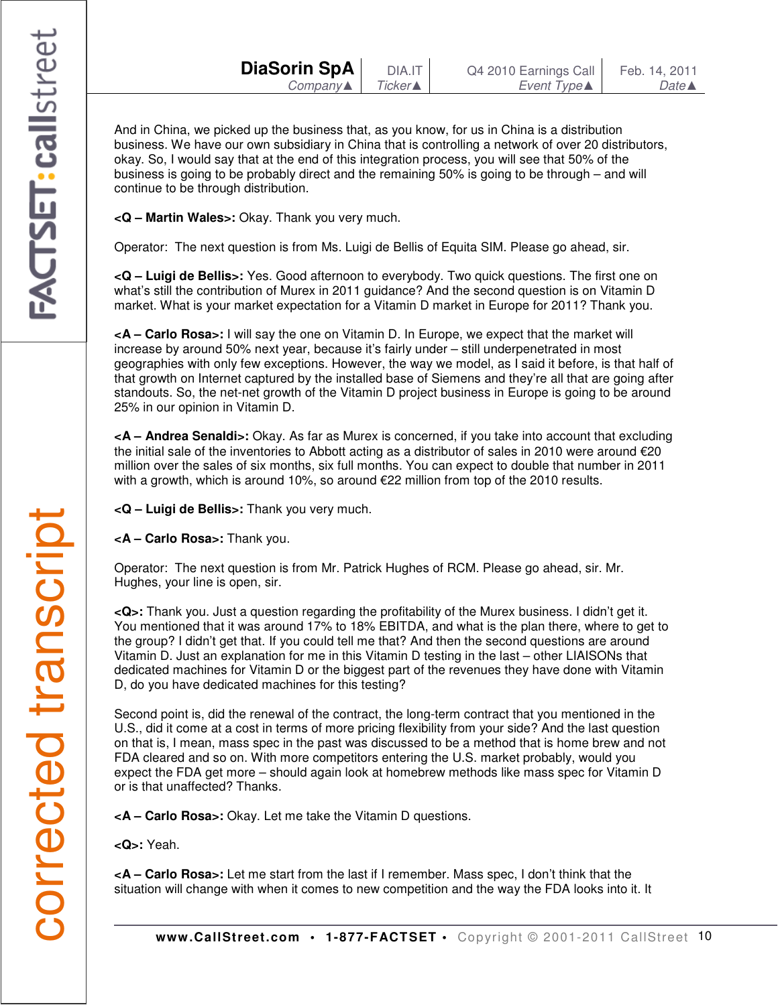And in China, we picked up the business that, as you know, for us in China is a distribution business. We have our own subsidiary in China that is controlling a network of over 20 distributors, okay. So, I would say that at the end of this integration process, you will see that 50% of the business is going to be probably direct and the remaining 50% is going to be through – and will continue to be through distribution.

**<Q – Martin Wales>:** Okay. Thank you very much.

Operator: The next question is from Ms. Luigi de Bellis of Equita SIM. Please go ahead, sir.

**<Q – Luigi de Bellis>:** Yes. Good afternoon to everybody. Two quick questions. The first one on what's still the contribution of Murex in 2011 guidance? And the second question is on Vitamin D market. What is your market expectation for a Vitamin D market in Europe for 2011? Thank you.

**<A – Carlo Rosa>:** I will say the one on Vitamin D. In Europe, we expect that the market will increase by around 50% next year, because it's fairly under – still underpenetrated in most geographies with only few exceptions. However, the way we model, as I said it before, is that half of that growth on Internet captured by the installed base of Siemens and they're all that are going after standouts. So, the net-net growth of the Vitamin D project business in Europe is going to be around 25% in our opinion in Vitamin D.

**<A – Andrea Senaldi>:** Okay. As far as Murex is concerned, if you take into account that excluding the initial sale of the inventories to Abbott acting as a distributor of sales in 2010 were around €20 million over the sales of six months, six full months. You can expect to double that number in 2011 with a growth, which is around 10%, so around €22 million from top of the 2010 results.

**<Q – Luigi de Bellis>:** Thank you very much.

**<A – Carlo Rosa>:** Thank you.

Operator: The next question is from Mr. Patrick Hughes of RCM. Please go ahead, sir. Mr. Hughes, your line is open, sir.

**<Q>:** Thank you. Just a question regarding the profitability of the Murex business. I didn't get it. You mentioned that it was around 17% to 18% EBITDA, and what is the plan there, where to get to the group? I didn't get that. If you could tell me that? And then the second questions are around Vitamin D. Just an explanation for me in this Vitamin D testing in the last – other LIAISONs that dedicated machines for Vitamin D or the biggest part of the revenues they have done with Vitamin D, do you have dedicated machines for this testing?

Second point is, did the renewal of the contract, the long-term contract that you mentioned in the U.S., did it come at a cost in terms of more pricing flexibility from your side? And the last question on that is, I mean, mass spec in the past was discussed to be a method that is home brew and not FDA cleared and so on. With more competitors entering the U.S. market probably, would you expect the FDA get more – should again look at homebrew methods like mass spec for Vitamin D or is that unaffected? Thanks.

**<A – Carlo Rosa>:** Okay. Let me take the Vitamin D questions.

**<Q>:** Yeah.

**<A – Carlo Rosa>:** Let me start from the last if I remember. Mass spec, I don't think that the situation will change with when it comes to new competition and the way the FDA looks into it. It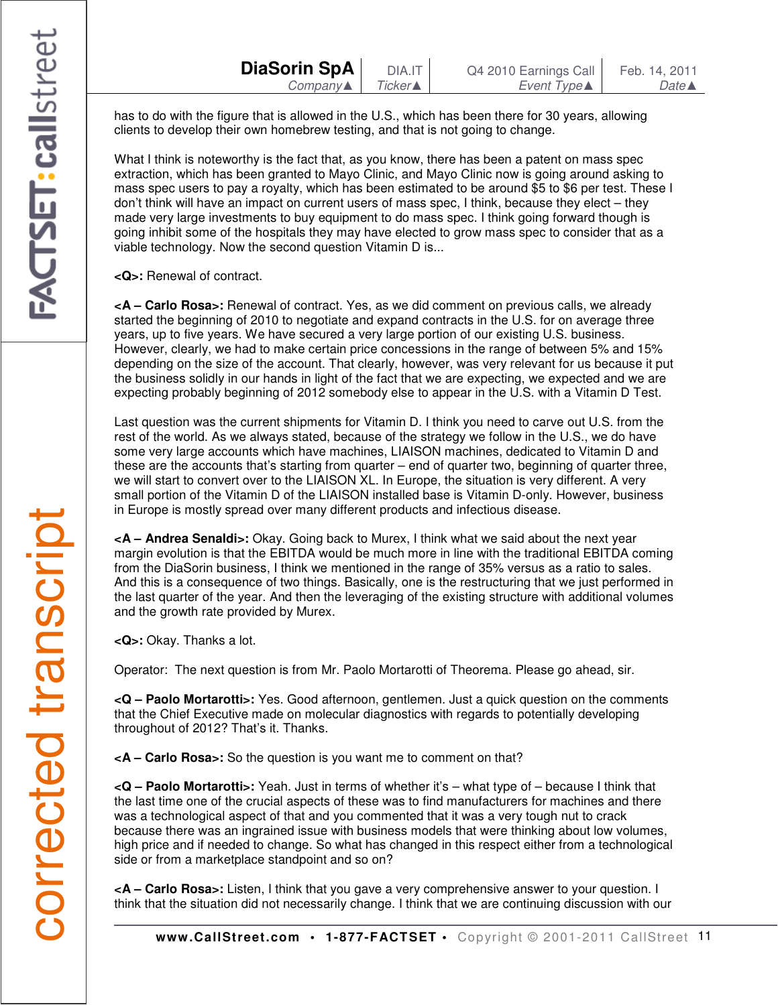has to do with the figure that is allowed in the U.S., which has been there for 30 years, allowing clients to develop their own homebrew testing, and that is not going to change.

What I think is noteworthy is the fact that, as you know, there has been a patent on mass spec extraction, which has been granted to Mayo Clinic, and Mayo Clinic now is going around asking to mass spec users to pay a royalty, which has been estimated to be around \$5 to \$6 per test. These I don't think will have an impact on current users of mass spec, I think, because they elect – they made very large investments to buy equipment to do mass spec. I think going forward though is going inhibit some of the hospitals they may have elected to grow mass spec to consider that as a viable technology. Now the second question Vitamin D is...

**<Q>:** Renewal of contract.

**<A – Carlo Rosa>:** Renewal of contract. Yes, as we did comment on previous calls, we already started the beginning of 2010 to negotiate and expand contracts in the U.S. for on average three years, up to five years. We have secured a very large portion of our existing U.S. business. However, clearly, we had to make certain price concessions in the range of between 5% and 15% depending on the size of the account. That clearly, however, was very relevant for us because it put the business solidly in our hands in light of the fact that we are expecting, we expected and we are expecting probably beginning of 2012 somebody else to appear in the U.S. with a Vitamin D Test.

Last question was the current shipments for Vitamin D. I think you need to carve out U.S. from the rest of the world. As we always stated, because of the strategy we follow in the U.S., we do have some very large accounts which have machines, LIAISON machines, dedicated to Vitamin D and these are the accounts that's starting from quarter – end of quarter two, beginning of quarter three, we will start to convert over to the LIAISON XL. In Europe, the situation is very different. A very small portion of the Vitamin D of the LIAISON installed base is Vitamin D-only. However, business in Europe is mostly spread over many different products and infectious disease.

**<A – Andrea Senaldi>:** Okay. Going back to Murex, I think what we said about the next year margin evolution is that the EBITDA would be much more in line with the traditional EBITDA coming from the DiaSorin business, I think we mentioned in the range of 35% versus as a ratio to sales. And this is a consequence of two things. Basically, one is the restructuring that we just performed in the last quarter of the year. And then the leveraging of the existing structure with additional volumes and the growth rate provided by Murex.

**<Q>:** Okay. Thanks a lot.

Operator: The next question is from Mr. Paolo Mortarotti of Theorema. Please go ahead, sir.

**<Q – Paolo Mortarotti>:** Yes. Good afternoon, gentlemen. Just a quick question on the comments that the Chief Executive made on molecular diagnostics with regards to potentially developing throughout of 2012? That's it. Thanks.

**<A – Carlo Rosa>:** So the question is you want me to comment on that?

**<Q – Paolo Mortarotti>:** Yeah. Just in terms of whether it's – what type of – because I think that the last time one of the crucial aspects of these was to find manufacturers for machines and there was a technological aspect of that and you commented that it was a very tough nut to crack because there was an ingrained issue with business models that were thinking about low volumes, high price and if needed to change. So what has changed in this respect either from a technological side or from a marketplace standpoint and so on?

**<A – Carlo Rosa>:** Listen, I think that you gave a very comprehensive answer to your question. I think that the situation did not necessarily change. I think that we are continuing discussion with our